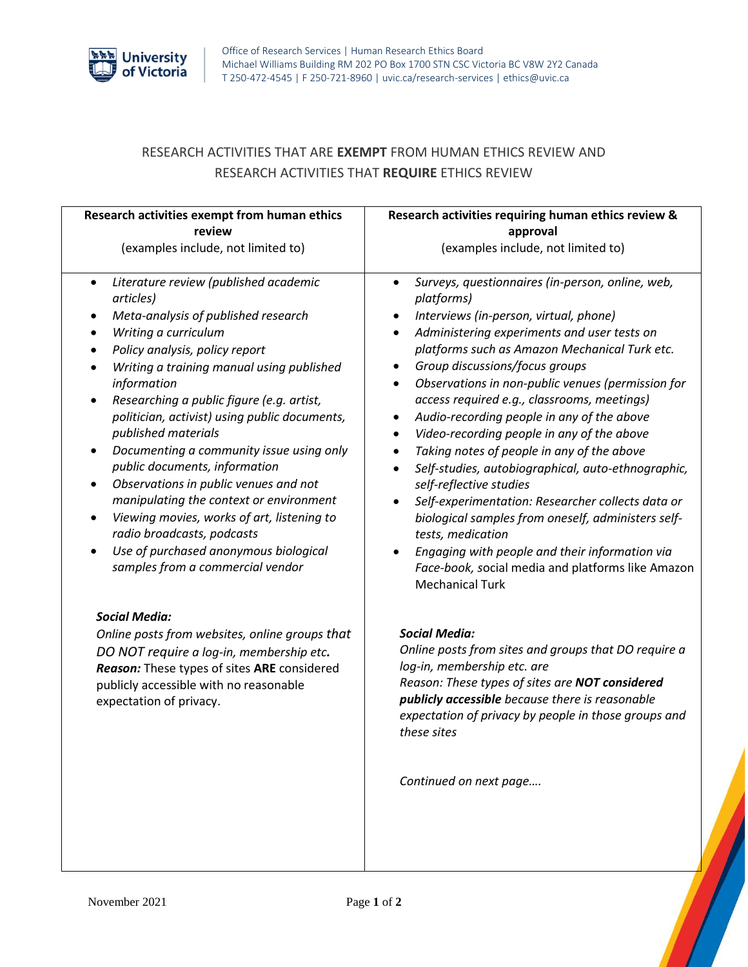

## RESEARCH ACTIVITIES THAT ARE **EXEMPT** FROM HUMAN ETHICS REVIEW AND RESEARCH ACTIVITIES THAT **REQUIRE** ETHICS REVIEW

| Research activities exempt from human ethics                                                                                                                                                                                           | Research activities requiring human ethics review &                                                                                                                                                                                                                                      |
|----------------------------------------------------------------------------------------------------------------------------------------------------------------------------------------------------------------------------------------|------------------------------------------------------------------------------------------------------------------------------------------------------------------------------------------------------------------------------------------------------------------------------------------|
| review                                                                                                                                                                                                                                 | approval                                                                                                                                                                                                                                                                                 |
| (examples include, not limited to)                                                                                                                                                                                                     | (examples include, not limited to)                                                                                                                                                                                                                                                       |
| Literature review (published academic                                                                                                                                                                                                  | Surveys, questionnaires (in-person, online, web,                                                                                                                                                                                                                                         |
| $\bullet$                                                                                                                                                                                                                              | $\bullet$                                                                                                                                                                                                                                                                                |
| articles)                                                                                                                                                                                                                              | platforms)                                                                                                                                                                                                                                                                               |
| Meta-analysis of published research                                                                                                                                                                                                    | Interviews (in-person, virtual, phone)                                                                                                                                                                                                                                                   |
| $\bullet$                                                                                                                                                                                                                              | $\bullet$                                                                                                                                                                                                                                                                                |
| Writing a curriculum                                                                                                                                                                                                                   | Administering experiments and user tests on                                                                                                                                                                                                                                              |
| $\bullet$                                                                                                                                                                                                                              | $\bullet$                                                                                                                                                                                                                                                                                |
| Policy analysis, policy report                                                                                                                                                                                                         | platforms such as Amazon Mechanical Turk etc.                                                                                                                                                                                                                                            |
| $\bullet$                                                                                                                                                                                                                              | Group discussions/focus groups                                                                                                                                                                                                                                                           |
| Writing a training manual using published                                                                                                                                                                                              | $\bullet$                                                                                                                                                                                                                                                                                |
| $\bullet$                                                                                                                                                                                                                              | Observations in non-public venues (permission for                                                                                                                                                                                                                                        |
| information                                                                                                                                                                                                                            | $\bullet$                                                                                                                                                                                                                                                                                |
| Researching a public figure (e.g. artist,                                                                                                                                                                                              | access required e.g., classrooms, meetings)                                                                                                                                                                                                                                              |
| $\bullet$                                                                                                                                                                                                                              | Audio-recording people in any of the above                                                                                                                                                                                                                                               |
| politician, activist) using public documents,                                                                                                                                                                                          | $\bullet$                                                                                                                                                                                                                                                                                |
| published materials                                                                                                                                                                                                                    | Video-recording people in any of the above                                                                                                                                                                                                                                               |
| Documenting a community issue using only                                                                                                                                                                                               | $\bullet$                                                                                                                                                                                                                                                                                |
| $\bullet$                                                                                                                                                                                                                              | Taking notes of people in any of the above                                                                                                                                                                                                                                               |
| public documents, information                                                                                                                                                                                                          | $\bullet$                                                                                                                                                                                                                                                                                |
| Observations in public venues and not                                                                                                                                                                                                  | Self-studies, autobiographical, auto-ethnographic,                                                                                                                                                                                                                                       |
| $\bullet$                                                                                                                                                                                                                              | $\bullet$                                                                                                                                                                                                                                                                                |
| manipulating the context or environment                                                                                                                                                                                                | self-reflective studies                                                                                                                                                                                                                                                                  |
| Viewing movies, works of art, listening to                                                                                                                                                                                             | Self-experimentation: Researcher collects data or                                                                                                                                                                                                                                        |
| $\bullet$                                                                                                                                                                                                                              | biological samples from oneself, administers self-                                                                                                                                                                                                                                       |
| radio broadcasts, podcasts                                                                                                                                                                                                             | tests, medication                                                                                                                                                                                                                                                                        |
| Use of purchased anonymous biological                                                                                                                                                                                                  | Engaging with people and their information via                                                                                                                                                                                                                                           |
| $\bullet$                                                                                                                                                                                                                              | Face-book, social media and platforms like Amazon                                                                                                                                                                                                                                        |
| samples from a commercial vendor                                                                                                                                                                                                       | <b>Mechanical Turk</b>                                                                                                                                                                                                                                                                   |
| <b>Social Media:</b><br>Online posts from websites, online groups that<br>DO NOT require a log-in, membership etc.<br>Reason: These types of sites ARE considered<br>publicly accessible with no reasonable<br>expectation of privacy. | <b>Social Media:</b><br>Online posts from sites and groups that DO require a<br>log-in, membership etc. are<br>Reason: These types of sites are NOT considered<br>publicly accessible because there is reasonable<br>expectation of privacy by people in those groups and<br>these sites |
|                                                                                                                                                                                                                                        | Continued on next page                                                                                                                                                                                                                                                                   |